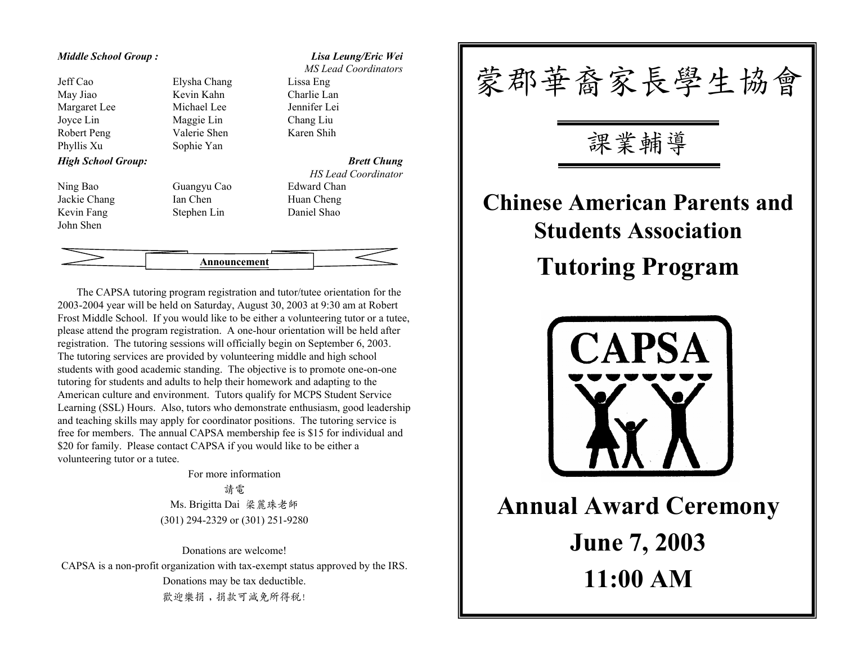### *Middle School Group :*

Jeff CaoMay Jiao Kevin Kahn Margaret Lee Michael Lee Jennifer Lei Joyce Lin Robert Peng Valerie S henPhyllis Xu *High Sc hool Group:*

Ni n g Bao Guangy u CaoJackie Chang Ian Chen Kevin Fan g Stephen Li n John Shen

Elysha Maggie Lin Sophie Yan

*Lisa Leung/Eric Wei MS Lead Coordinators*Lissa Eng Charlie LanChang Li u

Karen Shih

*Brett Chung HS Lead Coordinator* Edward ChanC heng Daniel Shao



The CAPSA tutoring program registration and tutor/tutee orientation for the 2003-2004 year will be held on Saturday, Aug ust 30, 2003 at 9:30 am at Ro bert Frost Middle School. If you would like to be either a vol u nteering tutor or a tutee, please attend the pro gram registration. A o ne-hour orientation will be hel d after registration. The tutoring sessions will officially begin on September 6, 2003. The tutori n g services are provided by volunteering middle and hi g h school stu dents with good academic standing. T he objective is to promote one-on-o ne tutorin g for stu dents a n d a d ults to help their homework and adapting to the American culture and environment. T utors qualify for M CPS Stu dent Service Learning (SSL) Hours. Also, tutors who demonstrate enthusiasm, good leadershi p and teaching skills may appl y for coordinator positions. T he tutori n g ser vice is free for members. The annual CAPSA membershi p fee is \$15 for i ndi vidual and \$20 for fa mily. Please co ntact CAPSA if you would li ke to be either a volunteering tutor or a tutee.

> For more information請電 Ms. Brigitta Dai 梁麗珠老 師 (301) 294-2329 or (301) 251-9280

Donations are welcome!CAPSA is a non-profit organization with tax-exempt status approved by the IRS. Donations may be tax deductible. 歡迎樂捐,捐款可減免所得稅!



**Annual Award Ceremony June 7, 2003 11:00 AM**